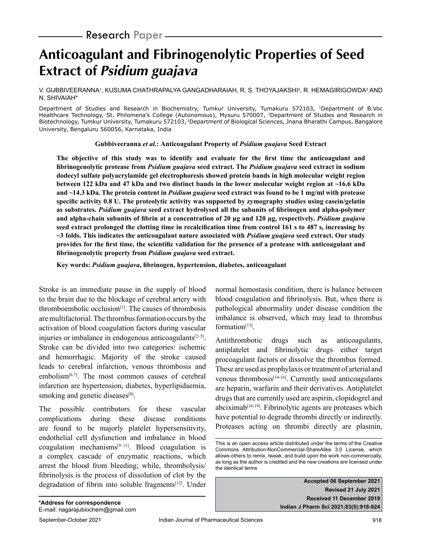- **Research** Paper –

# **Anticoagulant and Fibrinogenolytic Properties of Seed Extract of Psidium guajava**

V. GUBBIVEERANNA', KUSUMA CHATHRAPALYA GANGADHARAIAH, R. S. THOYAJAKSHI<sup>2</sup>, R. HEMAGIRIGOWDA<sup>3</sup> AND N. SHIVAIAH\*

Department of Studies and Research in Biochemistry, Tumkur University, Tumakuru 572103, 1Department of B.Voc Healthcare Technology, St. Philomena's College (Autonomous), Mysuru 570007, 2Department of Studies and Research in Biotechnology, Tumkur University, Tumakuru 572103, <sup>3</sup>Department of Biological Sciences, Jnana Bharathi Campus, Bangalore University, Bengaluru 560056, Karnataka, India

#### **Gubbiveeranna** *et al.***: Anticoagulant Property of** *Psidium guajava* **Seed Extract**

**The objective of this study was to identify and evaluate for the first time the anticoagulant and fibrinogenolytic protease from** *Psidium guajava* **seed extract. The** *Psidium guajava* **seed extract in sodium dodecyl sulfate polyacrylamide gel electrophoresis showed protein bands in high molecular weight region between 122 kDa and 47 kDa and two distinct bands in the lower molecular weight region at ~16.6 kDa and ~14.3 kDa. The protein content in** *Psidium guajava* **seed extract was found to be 1 mg/ml with protease specific activity 0.8 U. The proteolytic activity was supported by zymography studies using casein/gelatin as substrates.** *Psidium guajava* **seed extract hydrolysed all the subunits of fibrinogen and alpha-polymer and alpha-chain subunits of fibrin at a concentration of 20 µg and 120 µg, respectively.** *Psidium guajava*  **seed extract prolonged the clotting time in recalcification time from control 161 s to 487 s, increasing by ~3 folds. This indicates the anticoagulant nature associated with** *Psidium guajava* **seed extract. Our study provides for the first time, the scientific validation for the presence of a protease with anticoagulant and fibrinogenolytic property from** *Psidium guajava* **seed extract.**

**Key words:** *Psidium guajava***, fibrinogen, hypertension, diabetes, anticoagulant**

Stroke is an immediate pause in the supply of blood to the brain due to the blockage of cerebral artery with thromboembolic occlusion $[1]$ . The causes of thrombosis are multifactorial. The thrombus formation occurs by the activation of blood coagulation factors during vascular injuries or imbalance in endogenous anticoagulants $[2-5]$ . Stroke can be divided into two categories: ischemic and hemorrhagic. Majority of the stroke caused leads to cerebral infarction, venous thrombosis and embolism $[6,7]$ . The most common causes of cerebral infarction are hypertension, diabetes, hyperlipidaemia, smoking and genetic diseases<sup>[8]</sup>.

The possible contributors for these vascular complications during these disease conditions are found to be majorly platelet hypersensitivity, endothelial cell dysfunction and imbalance in blood coagulation mechanisms $[9-11]$ . Blood coagulation is a complex cascade of enzymatic reactions, which arrest the blood from bleeding; while, thrombolysis/ fibrinolysis is the process of dissolution of clot by the degradation of fibrin into soluble fragments<sup>[12]</sup>. Under normal hemostasis condition, there is balance between blood coagulation and fibrinolysis. But, when there is pathological abnormality under disease condition the imbalance is observed, which may lead to thrombus  $formation<sup>[13]</sup>$ .

Antithrombotic drugs such as anticoagulants, antiplatelet and fibrinolytic drugs either target procoagulant factors or dissolve the thrombus formed. These are used as prophylaxis or treatment of arterial and venous thrombosis<sup>[14-16]</sup>. Currently used anticoagulants are heparin, warfarin and their derivatives. Antiplatelet drugs that are currently used are aspirin, clopidogrel and  $abciximab^{[16-19]}$ . Fibrinolytic agents are proteases which have potential to degrade thrombi directly or indirectly. Proteases acting on thrombi directly are plasmin,

**Accepted 06 September 2021 Revised 21 July 2021 Received 11 December 2019 Indian J Pharm Sci 2021;83(5):918-924**

This is an open access article distributed under the terms of the Creative Commons Attribution-NonCommercial-ShareAlike 3.0 License, which allows others to remix, tweak, and build upon the work non-commercially, as long as the author is credited and the new creations are licensed under the identical terms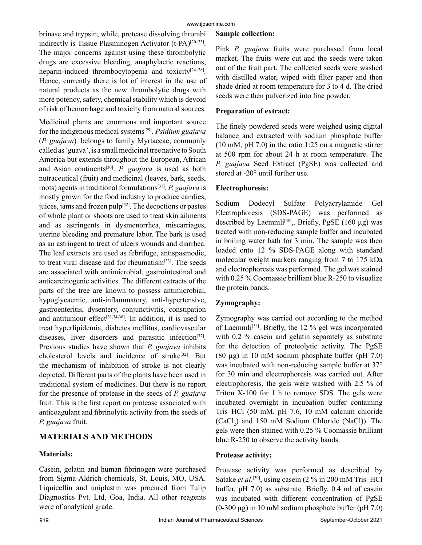brinase and trypsin; while, protease dissolving thrombi indirectly is Tissue Plasminogen Activator  $(t-PA)^{[20-23]}$ . The major concerns against using these thrombolytic drugs are excessive bleeding, anaphylactic reactions, heparin-induced thrombocytopenia and toxicity<sup>[24–28]</sup>. Hence, currently there is lot of interest in the use of natural products as the new thrombolytic drugs with more potency, safety, chemical stability which is devoid of risk of hemorrhage and toxicity from natural sources.

Medicinal plants are enormous and important source for the indigenous medical systems[29]. *Psidium guajava* (*P. guajava*)*,* belongs to family Myrtaceae, commonly called as 'guava', is a small medicinal tree native to South America but extends throughout the European, African and Asian continents[30]. *P. guajava* is used as both nutraceutical (fruit) and medicinal (leaves, bark, seeds, roots) agents in traditional formulations[31]. *P. guajava* is mostly grown for the food industry to produce candies, juices, jams and frozen pulp<sup>[32]</sup>. The decoctions or pastes of whole plant or shoots are used to treat skin ailments and as astringents in dysmenorrhea, miscarriages, uterine bleeding and premature labor. The bark is used as an astringent to treat of ulcers wounds and diarrhea. The leaf extracts are used as febrifuge, antispasmodic, to treat viral disease and for rheumatism[33]. The seeds are associated with antimicrobial, gastrointestinal and anticarcinogenic activities. The different extracts of the parts of the tree are known to possess antimicrobial, hypoglycaemic, anti-inflammatory, anti-hypertensive, gastroenteritis, dysentery, conjunctivitis, constipation and antitumour effect<sup>[31,34-36]</sup>. In addition, it is used to treat hyperlipidemia, diabetes mellitus, cardiovascular diseases, liver disorders and parasitic infection<sup>[37]</sup>. Previous studies have shown that *P. guajava* inhibits cholesterol levels and incidence of stroke<sup>[32]</sup>. But the mechanism of inhibition of stroke is not clearly depicted. Different parts of the plants have been used in traditional system of medicines. But there is no report for the presence of protease in the seeds of *P. guajava*  fruit. This is the first report on protease associated with anticoagulant and fibrinolytic activity from the seeds of *P. guajava* fruit.

# **MATERIALS AND METHODS**

## **Materials:**

Casein, gelatin and human fibrinogen were purchased from Sigma-Aldrich chemicals, St. Louis, MO, USA. Liquicellin and uniplastin was procured from Tulip Diagnostics Pvt. Ltd, Goa, India. All other reagents were of analytical grade.

#### **Sample collection:**

Pink *P. guajava* fruits were purchased from local market. The fruits were cut and the seeds were taken out of the fruit part. The collected seeds were washed with distilled water, wiped with filter paper and then shade dried at room temperature for 3 to 4 d. The dried seeds were then pulverized into fine powder.

## **Preparation of extract:**

The finely powdered seeds were weighed using digital balance and extracted with sodium phosphate buffer (10 mM, pH 7.0) in the ratio 1:25 on a magnetic stirrer at 500 rpm for about 24 h at room temperature. The *P. guajava* Seed Extract (PgSE) was collected and stored at -20° until further use.

#### **Electrophoresis:**

Sodium Dodecyl Sulfate Polyacrylamide Gel Electrophoresis (SDS-PAGE) was performed as described by Laemmli<sup>[38]</sup>,. Briefly, PgSE (160  $\mu$ g) was treated with non-reducing sample buffer and incubated in boiling water bath for 3 min. The sample was then loaded onto 12 % SDS-PAGE along with standard molecular weight markers ranging from 7 to 175 kDa and electrophoresis was performed. The gel was stained with 0.25 % Coomassie brilliant blue R-250 to visualize the protein bands.

# **Zymography:**

Zymography was carried out according to the method of Laemmli<sup>[38]</sup>. Briefly, the 12  $\%$  gel was incorporated with 0.2 % casein and gelatin separately as substrate for the detection of proteolytic activity. The PgSE (80 µg) in 10 mM sodium phosphate buffer (pH 7.0) was incubated with non-reducing sample buffer at 37° for 30 min and electrophoresis was carried out. After electrophoresis, the gels were washed with 2.5 % of Triton X-100 for 1 h to remove SDS. The gels were incubated overnight in incubation buffer containing Tris–HCl (50 mM, pH 7.6, 10 mM calcium chloride  $(CaCl<sub>2</sub>)$  and 150 mM Sodium Chloride (NaCl)). The gels were then stained with 0.25 % Coomassie brilliant blue R-250 to observe the activity bands.

#### **Protease activity:**

Protease activity was performed as described by Satake *et al*.<sup>[39]</sup>, using casein (2 % in 200 mM Tris–HCl buffer, pH 7.0) as substrate*.* Briefly, 0.4 ml of casein was incubated with different concentration of PgSE  $(0-300 \mu g)$  in 10 mM sodium phosphate buffer (pH 7.0)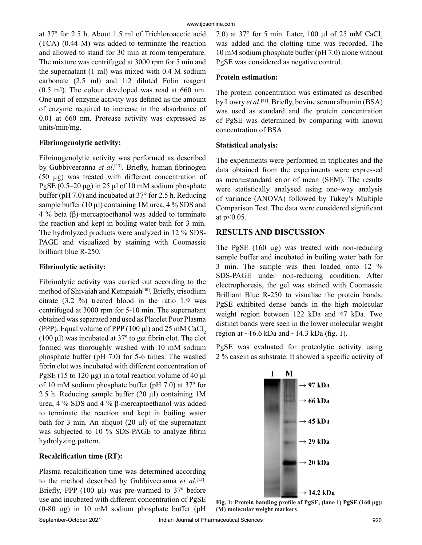at 37º for 2.5 h. About 1.5 ml of Trichloroacetic acid (TCA) (0.44 M) was added to terminate the reaction and allowed to stand for 30 min at room temperature. The mixture was centrifuged at 3000 rpm for 5 min and the supernatant (1 ml) was mixed with 0.4 M sodium carbonate (2.5 ml) and 1:2 diluted Folin reagent (0.5 ml). The colour developed was read at 660 nm. One unit of enzyme activity was defined as the amount of enzyme required to increase in the absorbance of 0.01 at 660 nm. Protease activity was expressed as units/min/mg.

#### **Fibrinogenolytic activity:**

Fibrinogenolytic activity was performed as described by Gubbiveeranna *et al*. [13]. Briefly, human fibrinogen (50 µg) was treated with different concentration of PgSE (0.5–20 µg) in 25 µl of 10 mM sodium phosphate buffer (pH 7.0) and incubated at 37° for 2.5 h. Reducing sample buffer (10  $\mu$ l) containing 1M urea, 4 % SDS and 4 % beta (β)-mercaptoethanol was added to terminate the reaction and kept in boiling water bath for 3 min. The hydrolyzed products were analyzed in 12 % SDS-PAGE and visualized by staining with Coomassie brilliant blue R-250.

#### **Fibrinolytic activity:**

Fibrinolytic activity was carried out according to the method of Shivaiah and Kempaiah<sup>[40]</sup>. Briefly, trisodium citrate (3.2 %) treated blood in the ratio 1:9 was centrifuged at 3000 rpm for 5-10 min. The supernatant obtained was separated and used as Platelet Poor Plasma (PPP). Equal volume of PPP  $(100 \mu l)$  and 25 mM CaCl,  $(100 \mu l)$  was incubated at 37 $\degree$  to get fibrin clot. The clot formed was thoroughly washed with 10 mM sodium phosphate buffer (pH 7.0) for 5-6 times. The washed fibrin clot was incubated with different concentration of PgSE (15 to 120 µg) in a total reaction volume of 40 μl of 10 mM sodium phosphate buffer (pH 7.0) at 37º for 2.5 h. Reducing sample buffer (20 µl) containing 1M urea, 4 % SDS and 4 % β-mercaptoethanol was added to terminate the reaction and kept in boiling water bath for 3 min. An aliquot (20 μl) of the supernatant was subjected to 10 % SDS-PAGE to analyze fibrin hydrolyzing pattern.

## **Recalcification time (RT):**

Plasma recalcification time was determined according to the method described by Gubbiveeranna *et al*. [13]. Briefly, PPP  $(100 \mu l)$  was pre-warmed to 37 $\degree$  before use and incubated with different concentration of PgSE (0-80 µg) in 10 mM sodium phosphate buffer (pH

7.0) at  $37^{\circ}$  for 5 min. Later, 100 µl of 25 mM CaCl<sub>2</sub> was added and the clotting time was recorded. The 10 mM sodium phosphate buffer (pH 7.0) alone without PgSE was considered as negative control.

#### **Protein estimation:**

The protein concentration was estimated as described by Lowry *et al*. [41]. Briefly, bovine serum albumin (BSA) was used as standard and the protein concentration of PgSE was determined by comparing with known concentration of BSA.

#### **Statistical analysis:**

The experiments were performed in triplicates and the data obtained from the experiments were expressed as mean±standard error of mean (SEM). The results were statistically analysed using one–way analysis of variance (ANOVA) followed by Tukey's Multiple Comparison Test. The data were considered significant at p<0.05.

## **RESULTS AND DISCUSSION**

The PgSE (160 µg) was treated with non-reducing sample buffer and incubated in boiling water bath for 3 min. The sample was then loaded onto 12 % SDS-PAGE under non-reducing condition. After electrophoresis, the gel was stained with Coomassie Brilliant Blue R-250 to visualise the protein bands. PgSE exhibited dense bands in the high molecular weight region between 122 kDa and 47 kDa. Two distinct bands were seen in the lower molecular weight region at  $\sim$ 16.6 kDa and  $\sim$ 14.3 kDa (fig. 1).

PgSE was evaluated for proteolytic activity using 2 % casein as substrate. It showed a specific activity of



**Fig. 1: Protein banding profile of PgSE, (lane 1) PgSE (160 µg); (M) molecular weight markers**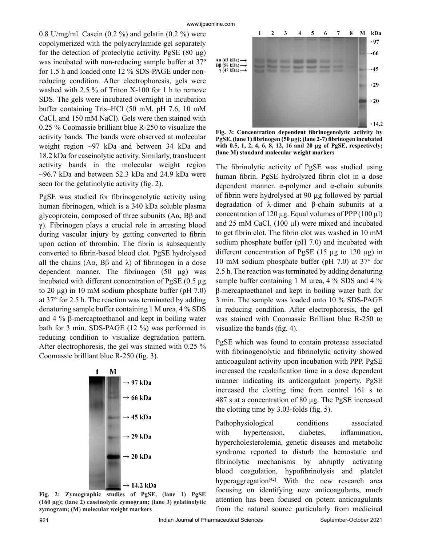0.8 U/mg/ml. Casein  $(0.2 \%)$  and gelatin  $(0.2 \%)$  were copolymerized with the polyacrylamide gel separately for the detection of proteolytic activity. PgSE  $(80 \mu g)$ was incubated with non-reducing sample buffer at 37º for 1.5 h and loaded onto 12 % SDS-PAGE under nonreducing condition. After electrophoresis, gels were washed with 2.5 % of Triton X-100 for 1 h to remove SDS. The gels were incubated overnight in incubation buffer containing Tris–HCl (50 mM, pH 7.6, 10 mM  $CaCl<sub>2</sub>$  and 150 mM NaCl). Gels were then stained with 0.25 % Coomassie brilliant blue R-250 to visualize the activity bands. The bands were observed at molecular weight region ~97 kDa and between 34 kDa and 18.2 kDa for caseinolytic activity. Similarly, translucent activity bands in the molecular weight region  $\sim$ 96.7 kDa and between 52.3 kDa and 24.9 kDa were seen for the gelatinolytic activity (fig. 2).

PgSE was studied for fibrinogenolytic activity using human fibrinogen, which is a 340 kDa soluble plasma glycoprotein, composed of three subunits (Aα, Bβ and γ). Fibrinogen plays a crucial role in arresting blood during vascular injury by getting converted to fibrin upon action of thrombin. The fibrin is subsequently converted to fibrin-based blood clot. PgSE hydrolysed all the chains  $(A\alpha, B\beta \text{ and } \lambda)$  of fibrinogen in a dose dependent manner. The fibrinogen  $(50 \mu g)$  was incubated with different concentration of PgSE (0.5 µg to 20 μg) in 10 mM sodium phosphate buffer (pH 7.0) at 37° for 2.5 h. The reaction was terminated by adding denaturing sample buffer containing 1 M urea, 4 % SDS and 4 % β-mercaptoethanol and kept in boiling water bath for 3 min. SDS-PAGE (12 %) was performed in reducing condition to visualize degradation pattern. After electrophoresis, the gel was stained with 0.25 % Coomassie brilliant blue R-250 (fig. 3).



**Fig. 2: Zymographic studies of PgSE, (lane 1) PgSE (160 µg); (lane 2) caseinolytic zymogram; (lane 3) gelatinolytic zymogram; (M) molecular weight markers**



**Fig. 3: Concentration dependent fibrinogenolytic activity by PgSE, (lane 1) fibrinogen (50 µg); (lane 2-7) fibrinogen incubated with 0.5, 1, 2, 4, 6, 8, 12, 16 and 20 μg of PgSE, respectively; (lane M) standard molecular weight markers**

The fibrinolytic activity of PgSE was studied using human fibrin. PgSE hydrolyzed fibrin clot in a dose dependent manner. α-polymer and α-chain subunits of fibrin were hydrolysed at 90 µg followed by partial degradation of λ-dimer and β-chain subunits at a concentration of 120  $\mu$ g. Equal volumes of PPP (100  $\mu$ l) and 25 mM CaCl<sub>2</sub> (100  $\mu$ I) were mixed and incubated to get fibrin clot. The fibrin clot was washed in 10 mM sodium phosphate buffer (pH 7.0) and incubated with different concentration of PgSE (15 µg to 120 µg) in 10 mM sodium phosphate buffer (pH 7.0) at 37° for 2.5 h. The reaction was terminated by adding denaturing sample buffer containing 1 M urea, 4 % SDS and 4 % β-mercaptoethanol and kept in boiling water bath for 3 min. The sample was loaded onto 10 % SDS-PAGE in reducing condition. After electrophoresis, the gel was stained with Coomassie Brilliant blue R-250 to visualize the bands (fig. 4).

PgSE which was found to contain protease associated with fibrinogenolytic and fibrinolytic activity showed anticoagulant activity upon incubation with PPP. PgSE increased the recalcification time in a dose dependent manner indicating its anticoagulant property. PgSE increased the clotting time from control 161 s to 487 s at a concentration of 80 µg. The PgSE increased the clotting time by 3.03-folds (fig. 5).

Pathophysiological conditions associated with hypertension, diabetes, inflammation, hypercholesterolemia, genetic diseases and metabolic syndrome reported to disturb the hemostatic and fibrinolytic mechanisms by abruptly activating blood coagulation, hypofibrinolysis and platelet hyperaggregation<sup>[42]</sup>. With the new research area focusing on identifying new anticoagulants, much attention has been focused on potent anticoagulants from the natural source particularly from medicinal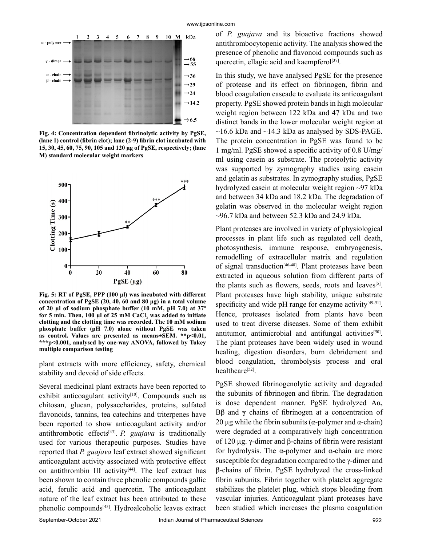

**Fig. 4: Concentration dependent fibrinolytic activity by PgSE, (lane 1) control (fibrin clot); lane (2-9) fibrin clot incubated with 15, 30, 45, 60, 75, 90, 105 and 120 μg of PgSE, respectively; (lane M) standard molecular weight markers**



**Fig. 5: RT of PgSE, PPP (100 µl) was incubated with different concentration of PgSE (20, 40, 60 and 80 µg) in a total volume of 20 µl of sodium phosphate buffer (10 mM, pH 7.0) at 37º for 5 min. Then, 100 µl of 25 mM CaCl<sup>2</sup> was added to initiate clotting and the clotting time was recorded. The 10 mM sodium phosphate buffer (pH 7.0) alone without PgSE was taken as control. Values are presented as means±SEM. \*\*p<0.01, \*\*\*p<0.001, analysed by one-way ANOVA, followed by Tukey multiple comparison testing**

plant extracts with more efficiency, safety, chemical stability and devoid of side effects.

Several medicinal plant extracts have been reported to exhibit anticoagulant activity<sup>[10]</sup>. Compounds such as chitosan, glucan, polysaccharides, proteins, sulfated flavonoids, tannins, tea catechins and triterpenes have been reported to show anticoagulant activity and/or antithrombotic effects[43]. *P. guajava* is traditionally used for various therapeutic purposes. Studies have reported that *P. guajava* leaf extract showed significant anticoagulant activity associated with protective effect on antithrombin III activity<sup>[44]</sup>. The leaf extract has been shown to contain three phenolic compounds gallic acid, ferulic acid and quercetin. The anticoagulant nature of the leaf extract has been attributed to these phenolic compounds[45]. Hydroalcoholic leaves extract of *P. guajava* and its bioactive fractions showed antithrombocytopenic activity. The analysis showed the presence of phenolic and flavonoid compounds such as quercetin, ellagic acid and kaempferol<sup>[37]</sup>.

In this study, we have analysed PgSE for the presence of protease and its effect on fibrinogen, fibrin and blood coagulation cascade to evaluate its anticoagulant property. PgSE showed protein bands in high molecular weight region between 122 kDa and 47 kDa and two distinct bands in the lower molecular weight region at  $\sim$ 16.6 kDa and  $\sim$ 14.3 kDa as analysed by SDS-PAGE. The protein concentration in PgSE was found to be 1 mg/ml. PgSE showed a specific activity of 0.8 U/mg/ ml using casein as substrate. The proteolytic activity was supported by zymography studies using casein and gelatin as substrates. In zymography studies, PgSE hydrolyzed casein at molecular weight region ~97 kDa and between 34 kDa and 18.2 kDa. The degradation of gelatin was observed in the molecular weight region  $\sim$ 96.7 kDa and between 52.3 kDa and 24.9 kDa.

Plant proteases are involved in variety of physiological processes in plant life such as regulated cell death, photosynthesis, immune response, embryogenesis, remodelling of extracellular matrix and regulation of signal transduction[46-48]. Plant proteases have been extracted in aqueous solution from different parts of the plants such as flowers, seeds, roots and leaves<sup>[5]</sup>. Plant proteases have high stability, unique substrate specificity and wide pH range for enzyme activity<sup>[49-51]</sup>. Hence, proteases isolated from plants have been used to treat diverse diseases. Some of them exhibit antitumor, antimicrobial and antifungal activities<sup>[50]</sup>. The plant proteases have been widely used in wound healing, digestion disorders, burn debridement and blood coagulation, thrombolysis process and oral healthcare<sup>[52]</sup>.

PgSE showed fibrinogenolytic activity and degraded the subunits of fibrinogen and fibrin. The degradation is dose dependent manner. PgSE hydrolyzed Aα, Bβ and **γ** chains of fibrinogen at a concentration of 20 μg while the fibrin subunits ( $α$ -polymer and  $α$ -chain) were degraded at a comparatively high concentration of 120 µg. γ-dimer and β-chains of fibrin were resistant for hydrolysis. The α-polymer and α-chain are more susceptible for degradation compared to the γ-dimer and β-chains of fibrin. PgSE hydrolyzed the cross-linked fibrin subunits. Fibrin together with platelet aggregate stabilizes the platelet plug, which stops bleeding from vascular injuries. Anticoagulant plant proteases have been studied which increases the plasma coagulation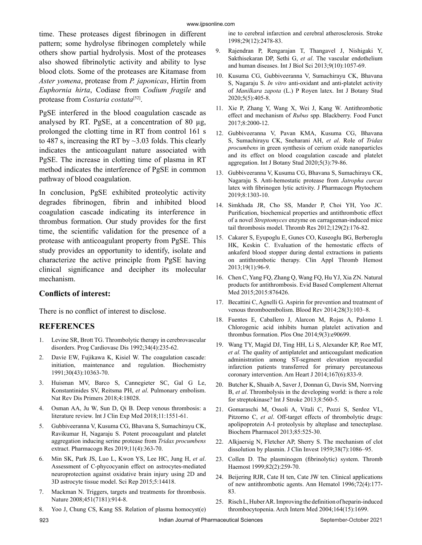time. These proteases digest fibrinogen in different pattern; some hydrolyse fibrinogen completely while others show partial hydrolysis. Most of the proteases also showed fibrinolytic activity and ability to lyse blood clots. Some of the proteases are Kitamase from *Aster yomena*, protease from *P. japonicas*, Hirtin from *Euphornia hirta*, Codiase from *Codium fragile* and protease from *Costaria costata*[52].

PgSE interfered in the blood coagulation cascade as analysed by RT. PgSE, at a concentration of 80 µg, prolonged the clotting time in RT from control 161 s to 487 s, increasing the RT by ~3.03 folds. This clearly indicates the anticoagulant nature associated with PgSE. The increase in clotting time of plasma in RT method indicates the interference of PgSE in common pathway of blood coagulation.

In conclusion, PgSE exhibited proteolytic activity degrades fibrinogen, fibrin and inhibited blood coagulation cascade indicating its interference in thrombus formation. Our study provides for the first time, the scientific validation for the presence of a protease with anticoagulant property from PgSE. This study provides an opportunity to identify, isolate and characterize the active principle from PgSE having clinical significance and decipher its molecular mechanism.

## **Conflicts of interest:**

There is no conflict of interest to disclose.

## **REFERENCES**

- 1. Levine SR, Brott TG. Thrombolytic therapy in cerebrovascular disorders. Prog Cardiovasc Dis 1992;34(4):235-62.
- Davie EW, Fujikawa K, Kisiel W. The coagulation cascade: initiation, maintenance and regulation. Biochemistry 1991;30(43):10363-70.
- 3. Huisman MV, Barco S, Cannegieter SC, Gal G Le, Konstantinides SV, Reitsma PH, *et al*. Pulmonary embolism. Nat Rev Dis Primers 2018;4:18028.
- 4. Osman AA, Ju W, Sun D, Qi B. Deep venous thrombosis: a literature review. Int J Clin Exp Med 2018;11:1551-61.
- 5. Gubbiveeranna V, Kusuma CG, Bhavana S, Sumachirayu CK, Ravikumar H, Nagaraju S. Potent procoagulant and platelet aggregation inducing serine protease from *Tridax procumbens* extract. Pharmacogn Res 2019;11(4):363-70.
- 6. Min SK, Park JS, Luo L, Kwon YS, Lee HC, Jung H, *et al*. Assessment of C-phycocyanin effect on astrocytes-mediated neuroprotection against oxidative brain injury using 2D and 3D astrocyte tissue model. Sci Rep 2015;5:14418.
- 7. Mackman N. Triggers, targets and treatments for thrombosis. Nature 2008;451(7181):914-8.
- 8. Yoo J, Chung CS, Kang SS. Relation of plasma homocyst(e)

ine to cerebral infarction and cerebral atherosclerosis. Stroke 1998;29(12):2478-83.

- 9. Rajendran P, Rengarajan T, Thangavel J, Nishigaki Y, Sakthisekaran DP, Sethi G, *et al*. The vascular endothelium and human diseases. Int J Biol Sci 2013;9(10):1057-69.
- 10. Kusuma CG, Gubbiveeranna V, Sumachirayu CK, Bhavana S, Nagaraju S. *In vitro* anti-oxidant and anti-platelet activity of *Manilkara zapota* (L.) P Royen latex. Int J Botany Stud 2020;5(5):405-8.
- 11. Xie P, Zhang Y, Wang X, Wei J, Kang W. Antithrombotic effect and mechanism of *Rubus* spp. Blackberry. Food Funct 2017;8:2000-12.
- 12. Gubbiveeranna V, Pavan KMA, Kusuma CG, Bhavana S, Sumachirayu CK, Sneharani AH, *et al*. Role of *Tridax procumbens* in green synthesis of cerium oxide nanoparticles and its effect on blood coagulation cascade and platelet aggregation. Int J Botany Stud 2020;5(3):79-86.
- 13. Gubbiveeranna V, Kusuma CG, Bhavana S, Sumachirayu CK, Nagaraju S. Anti-hemostatic protease from *Jatropha curcas* latex with fibrinogen lytic activity. J Pharmacogn Phytochem 2019;8:1303-10.
- 14. Simkhada JR, Cho SS, Mander P, Choi YH, Yoo JC. Purification, biochemical properties and antithrombotic effect of a novel *Streptomyces* enzyme on carrageenan-induced mice tail thrombosis model. Thromb Res 2012;129(2):176-82.
- 15. Cakarer S, Eyupoglu E, Gunes CO, Kuseoglu BG, Berberoglu HK, Keskin C. Evaluation of the hemostatic effects of ankaferd blood stopper during dental extractions in patients on antithrombotic therapy. Clin Appl Thromb Hemost 2013;19(1):96-9.
- 16. Chen C, Yang FQ, Zhang Q, Wang FQ, Hu YJ, Xia ZN. Natural products for antithrombosis. Evid Based Complement Alternat Med 2015;2015:876426.
- 17. Becattini C, Agnelli G. Aspirin for prevention and treatment of venous thromboembolism. Blood Rev 2014;28(3):103–8.
- 18. Fuentes E, Caballero J, Alarcon M, Rojas A, Palomo I. Chlorogenic acid inhibits human platelet activation and thrombus formation. Plos One 2014;9(3):e90699.
- 19. Wang TY, Magid DJ, Ting HH, Li S, Alexander KP, Roe MT, *et al.* The quality of antiplatelet and anticoagulant medication administration among ST-segment elevation myocardial infarction patients transferred for primary percutaneous coronary intervention. Am Heart J 2014;167(6):833-9.
- 20. Butcher K, Shuaib A, Saver J, Donnan G, Davis SM, Norrving B, *et al*. Thrombolysis in the developing world: is there a role for streptokinase? Int J Stroke 2013;8:560-5.
- 21. Gomaraschi M, Ossoli A, Vitali C, Pozzi S, Serdoz VL, Pitzorno C, *et al*. Off-target effects of thrombolytic drugs: apolipoprotein A-I proteolysis by alteplase and tenecteplase. Biochem Pharmacol 2013;85:525-30.
- 22. Alkjaersig N, Fletcher AP, Sherry S. The mechanism of clot dissolution by plasmin. J Clin Invest 1959;38(7):1086–95.
- 23. Collen D. The plasminogen (fibrinolytic) system. Thromb Haemost 1999;82(2):259-70.
- 24. Beijering RJR, Cate H ten, Cate JW ten. Clinical applications of new antithrombotic agents. Ann Hematol 1996;72(4):177- 83.
- 25. Risch L, Huber AR. Improving the definition of heparin-induced thrombocytopenia. Arch Intern Med 2004;164(15):1699.